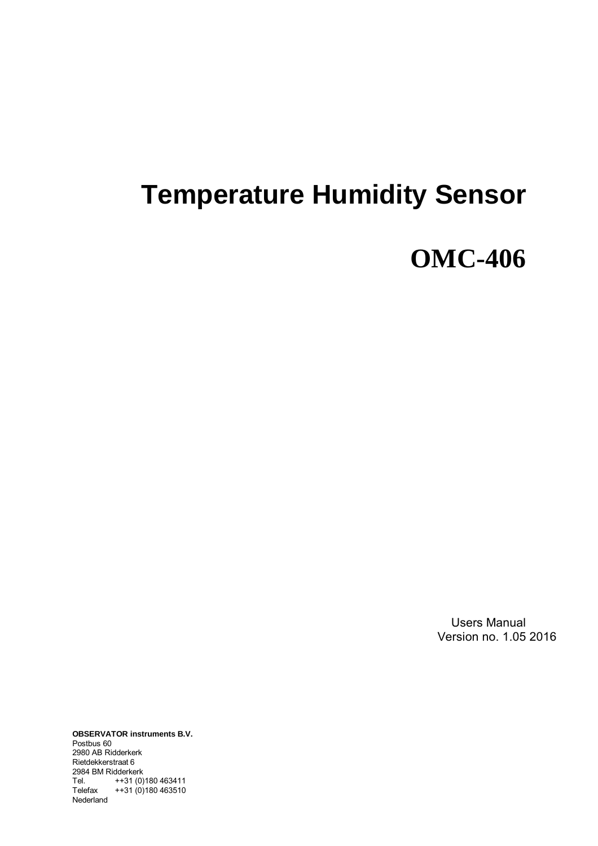# **Temperature Humidity Sensor**

# **OMC-406**

Users Manual Version no. 1.05 2016

**OBSERVATOR instruments B.V.** Postbus 60 2980 AB Ridderkerk Rietdekkerstraat 6 2984 BM Ridderkerk Tel. ++31 (0)180 463411 Telefax ++31 (0)180 463510 Nederland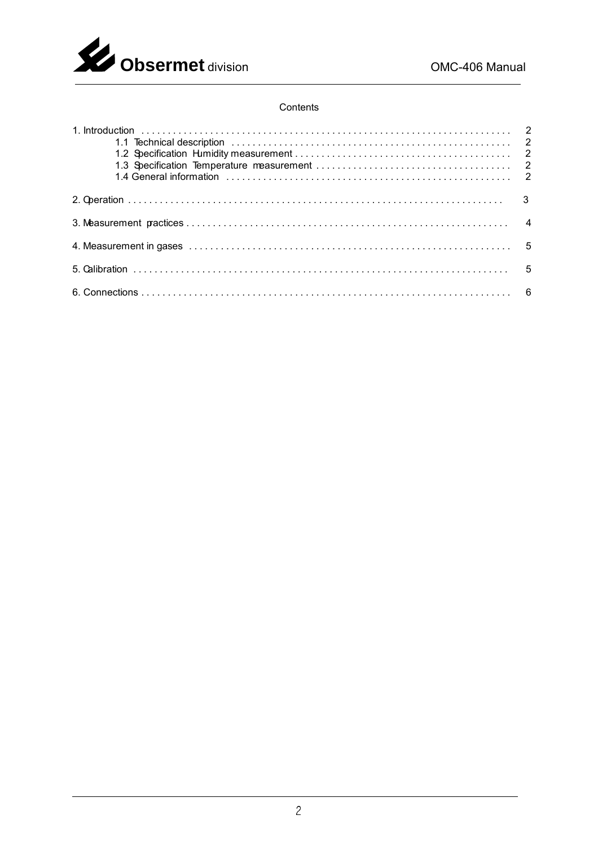

### Contents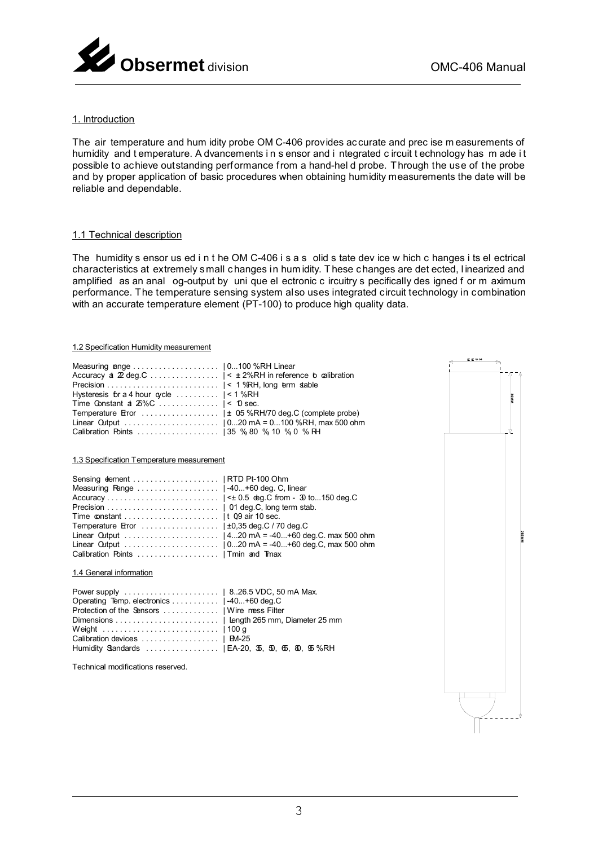

#### 1. Introduction

The air temperature and hum idity probe OM C-406 provides accurate and prec ise measurements of humidity and temperature. A dvancements in s ensor and i ntegrated c ircuit t echnology has m ade it possible to achieve outstanding performance from a hand-hel d probe. Through the use of the probe and by proper application of basic procedures when obtaining humidity measurements the date will be reliable and dependable.

#### 1.1 Technical description

The humidity s ensor us ed i n t he OM C-406 i s a s olid s tate dev ice w hich c hanges i ts el ectrical characteristics at extremely small changes in hum idity. These changes are det ected, I inearized and amplified as an anal og-output by uni que el ectronic c ircuitry s pecifically des igned f or m aximum performance. The temperature sensing system also uses integrated circuit technology in combination with an accurate temperature element (PT-100) to produce high quality data.

#### 1.2 Specification Humidity measurement

|                                                           |                           | 医室外的 |        |              |
|-----------------------------------------------------------|---------------------------|------|--------|--------------|
|                                                           |                           |      |        |              |
| Accuracy a 22 deg.C   < ± 2%RH in reference b calibration |                           |      | `∆⊺ ^∆ |              |
|                                                           |                           |      |        |              |
|                                                           |                           |      |        |              |
| Hysteresis for a 4 hour gycle $\dots\dots\dots$   < 1 %RH |                           |      | Ĕ      |              |
| Time Constant a $25\%$ C    < 10 sec.                     |                           |      |        |              |
|                                                           |                           |      |        |              |
|                                                           |                           |      |        |              |
|                                                           |                           |      | v      |              |
|                                                           |                           |      |        |              |
| 1.3 Specification Temperature measurement                 |                           |      |        |              |
|                                                           |                           |      |        |              |
|                                                           |                           |      |        |              |
|                                                           |                           |      |        |              |
|                                                           |                           |      |        |              |
|                                                           | 01 deg.C, long term stab. |      |        |              |
|                                                           |                           |      |        |              |
| Time constant  It 09 air 10 sec.                          |                           |      |        |              |
|                                                           |                           |      |        |              |
|                                                           |                           |      |        | <b>MNS92</b> |
|                                                           |                           |      |        |              |
|                                                           |                           |      |        |              |
| 1.4 General information                                   |                           |      |        |              |
|                                                           |                           |      |        |              |
|                                                           |                           |      |        |              |
| Protection of the Sensors    Wire mess Filter             |                           |      |        |              |
|                                                           |                           |      |        |              |
|                                                           |                           |      |        |              |
|                                                           |                           |      |        |              |
|                                                           |                           |      |        |              |
|                                                           |                           |      |        |              |
| Technical modifications reserved.                         |                           |      |        |              |
|                                                           |                           |      |        |              |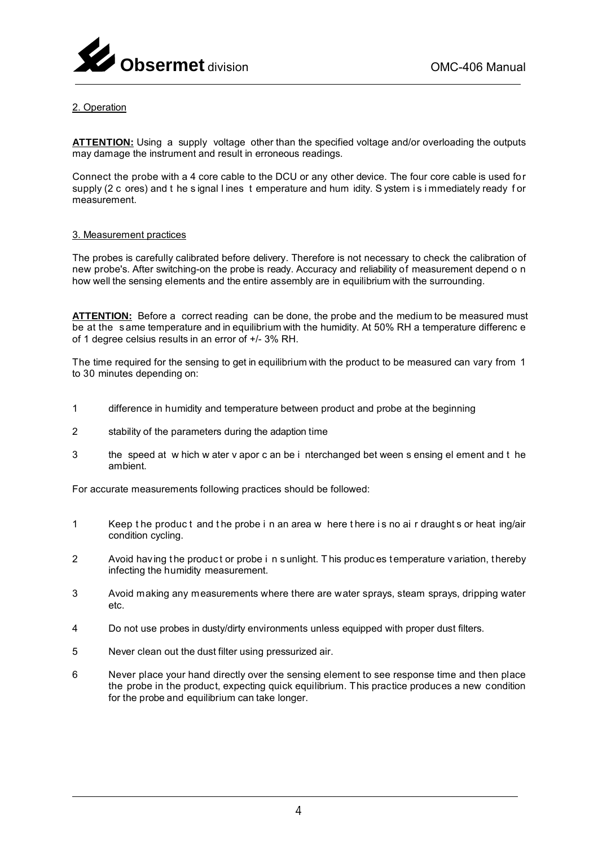

# 2. Operation

**ATTENTION:** Using a supply voltage other than the specified voltage and/or overloading the outputs may damage the instrument and result in erroneous readings.

Connect the probe with a 4 core cable to the DCU or any other device. The four core cable is used for supply (2 c ores) and t he s ignal l ines t emperature and hum idity. S ystem i s i mmediately ready f or measurement.

#### 3. Measurement practices

The probes is carefully calibrated before delivery. Therefore is not necessary to check the calibration of new probe's. After switching-on the probe is ready. Accuracy and reliability of measurement depend o n how well the sensing elements and the entire assembly are in equilibrium with the surrounding.

**ATTENTION:** Before a correct reading can be done, the probe and the medium to be measured must be at the s ame temperature and in equilibrium with the humidity. At 50% RH a temperature differenc e of 1 degree celsius results in an error of +/- 3% RH.

The time required for the sensing to get in equilibrium with the product to be measured can vary from 1 to 30 minutes depending on:

- 1 difference in humidity and temperature between product and probe at the beginning
- 2 stability of the parameters during the adaption time
- 3 the speed at w hich w ater v apor c an be i nterchanged bet ween s ensing el ement and t he ambient.

For accurate measurements following practices should be followed:

- 1 Keep t he produc t and t he probe i n an area w here t here i s no ai r draught s or heat ing/air condition cycling.
- 2 Avoid having the product or probe i n s unlight. This produces temperature variation, thereby infecting the humidity measurement.
- 3 Avoid making any measurements where there are water sprays, steam sprays, dripping water etc.
- 4 Do not use probes in dusty/dirty environments unless equipped with proper dust filters.
- 5 Never clean out the dust filter using pressurized air.
- 6 Never place your hand directly over the sensing element to see response time and then place the probe in the product, expecting quick equilibrium. This practice produces a new condition for the probe and equilibrium can take longer.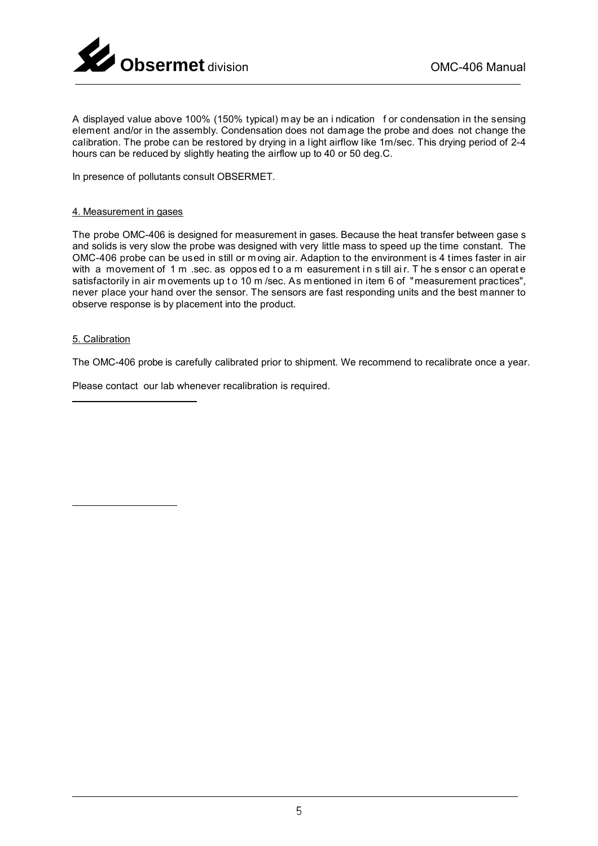

element and/or in the assembly. Condensation does not damage the probe and does not change the ์<br>เด A displayed value above 100% (150% typical) may be an i ndication f or condensation in the sensing calibration. The probe can be restored by drying in a light airflow like 1m/sec. This drying period of 2-4 hours can be reduced by slightly heating the airflow up to 40 or 50 deg.C.

In presence of pollutants consult OBSERMET.

## 4. Measurement in gases

The probe OMC-406 is designed for measurement in gases. Because the heat transfer between gase s and solids is very slow the probe was designed with very little mass to speed up the time constant. The OMC-406 probe can be used in still or m oving air. Adaption to the environment is 4 times faster in air with a movement of 1 m sec. as oppos ed to a m easurement in s till air. The sensor c an operate satisfactorily in air m ovements up t o 10 m/sec. As m entioned in item 6 of "measurement practices", never place your hand over the sensor. The sensors are fast responding units and the best manner to observe response is by placement into the product.

## 5. Calibration

The OMC-406 probe is carefully calibrated prior to shipment. We recommend to recalibrate once a year.

Please contact our lab whenever recalibration is required.